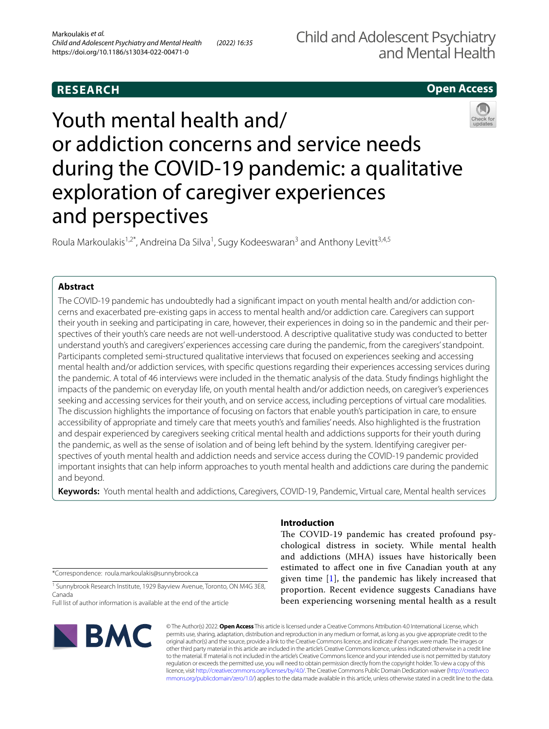# **RESEARCH**

# **Open Access**

# Youth mental health and/ or addiction concerns and service needs during the COVID-19 pandemic: a qualitative exploration of caregiver experiences and perspectives

Roula Markoulakis<sup>1,2\*</sup>, Andreina Da Silva<sup>1</sup>, Sugy Kodeeswaran<sup>3</sup> and Anthony Levitt<sup>3,4,5</sup>

## **Abstract**

The COVID-19 pandemic has undoubtedly had a signifcant impact on youth mental health and/or addiction concerns and exacerbated pre-existing gaps in access to mental health and/or addiction care. Caregivers can support their youth in seeking and participating in care, however, their experiences in doing so in the pandemic and their perspectives of their youth's care needs are not well-understood. A descriptive qualitative study was conducted to better understand youth's and caregivers' experiences accessing care during the pandemic, from the caregivers' standpoint. Participants completed semi-structured qualitative interviews that focused on experiences seeking and accessing mental health and/or addiction services, with specifc questions regarding their experiences accessing services during the pandemic. A total of 46 interviews were included in the thematic analysis of the data. Study fndings highlight the impacts of the pandemic on everyday life, on youth mental health and/or addiction needs, on caregiver's experiences seeking and accessing services for their youth, and on service access, including perceptions of virtual care modalities. The discussion highlights the importance of focusing on factors that enable youth's participation in care, to ensure accessibility of appropriate and timely care that meets youth's and families' needs. Also highlighted is the frustration and despair experienced by caregivers seeking critical mental health and addictions supports for their youth during the pandemic, as well as the sense of isolation and of being left behind by the system. Identifying caregiver perspectives of youth mental health and addiction needs and service access during the COVID-19 pandemic provided important insights that can help inform approaches to youth mental health and addictions care during the pandemic and beyond.

**Keywords:** Youth mental health and addictions, Caregivers, COVID-19, Pandemic, Virtual care, Mental health services

\*Correspondence: roula.markoulakis@sunnybrook.ca

<sup>1</sup> Sunnybrook Research Institute, 1929 Bayview Avenue, Toronto, ON M4G 3E8, Canada

Full list of author information is available at the end of the article



## **Introduction**

The COVID-19 pandemic has created profound psychological distress in society. While mental health and addictions (MHA) issues have historically been estimated to afect one in fve Canadian youth at any given time  $[1]$  $[1]$ , the pandemic has likely increased that proportion. Recent evidence suggests Canadians have been experiencing worsening mental health as a result

© The Author(s) 2022. **Open Access** This article is licensed under a Creative Commons Attribution 4.0 International License, which permits use, sharing, adaptation, distribution and reproduction in any medium or format, as long as you give appropriate credit to the original author(s) and the source, provide a link to the Creative Commons licence, and indicate if changes were made. The images or other third party material in this article are included in the article's Creative Commons licence, unless indicated otherwise in a credit line to the material. If material is not included in the article's Creative Commons licence and your intended use is not permitted by statutory regulation or exceeds the permitted use, you will need to obtain permission directly from the copyright holder. To view a copy of this licence, visit [http://creativecommons.org/licenses/by/4.0/.](http://creativecommons.org/licenses/by/4.0/) The Creative Commons Public Domain Dedication waiver ([http://creativeco](http://creativecommons.org/publicdomain/zero/1.0/) [mmons.org/publicdomain/zero/1.0/](http://creativecommons.org/publicdomain/zero/1.0/)) applies to the data made available in this article, unless otherwise stated in a credit line to the data.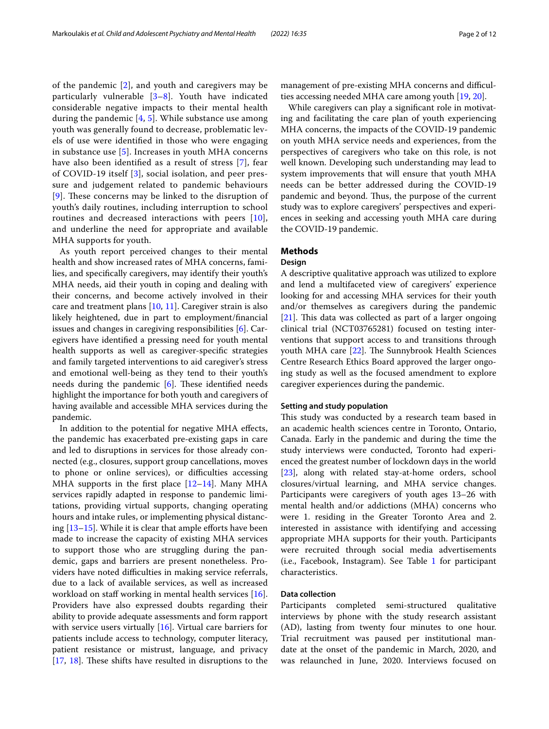of the pandemic [[2\]](#page-10-1), and youth and caregivers may be particularly vulnerable  $[3-8]$  $[3-8]$  $[3-8]$ . Youth have indicated considerable negative impacts to their mental health during the pandemic [\[4](#page-11-2), [5](#page-11-3)]. While substance use among youth was generally found to decrease, problematic levels of use were identifed in those who were engaging in substance use [[5](#page-11-3)]. Increases in youth MHA concerns have also been identifed as a result of stress [[7\]](#page-11-4), fear of COVID-19 itself [[3](#page-11-0)], social isolation, and peer pressure and judgement related to pandemic behaviours  $[9]$  $[9]$  $[9]$ . These concerns may be linked to the disruption of youth's daily routines, including interruption to school routines and decreased interactions with peers [[10\]](#page-11-6), and underline the need for appropriate and available MHA supports for youth.

As youth report perceived changes to their mental health and show increased rates of MHA concerns, families, and specifcally caregivers, may identify their youth's MHA needs, aid their youth in coping and dealing with their concerns, and become actively involved in their care and treatment plans [[10](#page-11-6), [11](#page-11-7)]. Caregiver strain is also likely heightened, due in part to employment/fnancial issues and changes in caregiving responsibilities [\[6](#page-11-8)]. Caregivers have identifed a pressing need for youth mental health supports as well as caregiver-specifc strategies and family targeted interventions to aid caregiver's stress and emotional well-being as they tend to their youth's needs during the pandemic  $[6]$  $[6]$ . These identified needs highlight the importance for both youth and caregivers of having available and accessible MHA services during the pandemic.

In addition to the potential for negative MHA efects, the pandemic has exacerbated pre-existing gaps in care and led to disruptions in services for those already connected (e.g., closures, support group cancellations, moves to phone or online services), or difficulties accessing MHA supports in the first place  $[12-14]$  $[12-14]$  $[12-14]$ . Many MHA services rapidly adapted in response to pandemic limitations, providing virtual supports, changing operating hours and intake rules, or implementing physical distancing  $[13-15]$  $[13-15]$ . While it is clear that ample efforts have been made to increase the capacity of existing MHA services to support those who are struggling during the pandemic, gaps and barriers are present nonetheless. Providers have noted difficulties in making service referrals, due to a lack of available services, as well as increased workload on staff working in mental health services [\[16](#page-11-13)]. Providers have also expressed doubts regarding their ability to provide adequate assessments and form rapport with service users virtually [[16\]](#page-11-13). Virtual care barriers for patients include access to technology, computer literacy, patient resistance or mistrust, language, and privacy  $[17, 18]$  $[17, 18]$  $[17, 18]$  $[17, 18]$  $[17, 18]$ . These shifts have resulted in disruptions to the management of pre-existing MHA concerns and difficulties accessing needed MHA care among youth [[19](#page-11-16), [20\]](#page-11-17).

While caregivers can play a signifcant role in motivating and facilitating the care plan of youth experiencing MHA concerns, the impacts of the COVID-19 pandemic on youth MHA service needs and experiences, from the perspectives of caregivers who take on this role, is not well known. Developing such understanding may lead to system improvements that will ensure that youth MHA needs can be better addressed during the COVID-19 pandemic and beyond. Thus, the purpose of the current study was to explore caregivers' perspectives and experiences in seeking and accessing youth MHA care during the COVID-19 pandemic.

## **Methods**

## **Design**

A descriptive qualitative approach was utilized to explore and lend a multifaceted view of caregivers' experience looking for and accessing MHA services for their youth and/or themselves as caregivers during the pandemic  $[21]$  $[21]$ . This data was collected as part of a larger ongoing clinical trial (NCT03765281) focused on testing interventions that support access to and transitions through youth MHA care [\[22](#page-11-19)]. The Sunnybrook Health Sciences Centre Research Ethics Board approved the larger ongoing study as well as the focused amendment to explore caregiver experiences during the pandemic.

## **Setting and study population**

This study was conducted by a research team based in an academic health sciences centre in Toronto, Ontario, Canada. Early in the pandemic and during the time the study interviews were conducted, Toronto had experienced the greatest number of lockdown days in the world [[23\]](#page-11-20), along with related stay-at-home orders, school closures/virtual learning, and MHA service changes. Participants were caregivers of youth ages 13–26 with mental health and/or addictions (MHA) concerns who were 1. residing in the Greater Toronto Area and 2. interested in assistance with identifying and accessing appropriate MHA supports for their youth. Participants were recruited through social media advertisements (i.e., Facebook, Instagram). See Table [1](#page-2-0) for participant characteristics.

## **Data collection**

Participants completed semi-structured qualitative interviews by phone with the study research assistant (AD), lasting from twenty four minutes to one hour. Trial recruitment was paused per institutional mandate at the onset of the pandemic in March, 2020, and was relaunched in June, 2020. Interviews focused on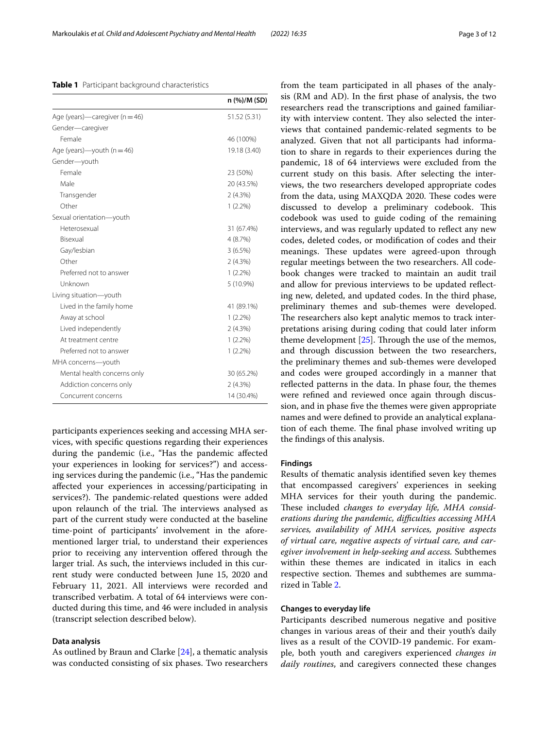participants experiences seeking and accessing MHA services, with specifc questions regarding their experiences during the pandemic (i.e., "Has the pandemic afected your experiences in looking for services?") and accessing services during the pandemic (i.e., "Has the pandemic afected your experiences in accessing/participating in services?). The pandemic-related questions were added upon relaunch of the trial. The interviews analysed as part of the current study were conducted at the baseline time-point of participants' involvement in the aforementioned larger trial, to understand their experiences prior to receiving any intervention offered through the larger trial. As such, the interviews included in this current study were conducted between June 15, 2020 and February 11, 2021. All interviews were recorded and transcribed verbatim. A total of 64 interviews were conducted during this time, and 46 were included in analysis (transcript selection described below).

## **Data analysis**

As outlined by Braun and Clarke [[24\]](#page-11-21), a thematic analysis was conducted consisting of six phases. Two researchers researchers read the transcriptions and gained familiarity with interview content. They also selected the interviews that contained pandemic-related segments to be analyzed. Given that not all participants had information to share in regards to their experiences during the pandemic, 18 of 64 interviews were excluded from the current study on this basis. After selecting the interviews, the two researchers developed appropriate codes from the data, using MAXQDA 2020. These codes were discussed to develop a preliminary codebook. This codebook was used to guide coding of the remaining interviews, and was regularly updated to reflect any new codes, deleted codes, or modifcation of codes and their meanings. These updates were agreed-upon through regular meetings between the two researchers. All codebook changes were tracked to maintain an audit trail and allow for previous interviews to be updated refecting new, deleted, and updated codes. In the third phase, preliminary themes and sub-themes were developed. The researchers also kept analytic memos to track interpretations arising during coding that could later inform theme development  $[25]$ . Through the use of the memos, and through discussion between the two researchers, the preliminary themes and sub-themes were developed and codes were grouped accordingly in a manner that reflected patterns in the data. In phase four, the themes were refned and reviewed once again through discussion, and in phase fve the themes were given appropriate names and were defned to provide an analytical explanation of each theme. The final phase involved writing up the fndings of this analysis.

from the team participated in all phases of the analysis (RM and AD). In the frst phase of analysis, the two

## **Findings**

Results of thematic analysis identifed seven key themes that encompassed caregivers' experiences in seeking MHA services for their youth during the pandemic. These included *changes to everyday life*, MHA consid*erations during the pandemic, difculties accessing MHA services, availability of MHA services, positive aspects of virtual care, negative aspects of virtual care, and caregiver involvement in help-seeking and access.* Subthemes within these themes are indicated in italics in each respective section. Themes and subthemes are summarized in Table [2.](#page-3-0)

## **Changes to everyday life**

Participants described numerous negative and positive changes in various areas of their and their youth's daily lives as a result of the COVID-19 pandemic. For example, both youth and caregivers experienced *changes in daily routines*, and caregivers connected these changes

<span id="page-2-0"></span>

|  |  |  | Table 1 Participant background characteristics |
|--|--|--|------------------------------------------------|
|--|--|--|------------------------------------------------|

|                                    | n (%)/M (SD) |
|------------------------------------|--------------|
| Age (years)—caregiver ( $n = 46$ ) | 51.52 (5.31) |
| Gender-caregiver                   |              |
| Female                             | 46 (100%)    |
| Age (years)—youth ( $n = 46$ )     | 19.18 (3.40) |
| Gender-youth                       |              |
| Female                             | 23 (50%)     |
| Male                               | 20 (43.5%)   |
| Transgender                        | 2(4.3%)      |
| Other                              | $1(2.2\%)$   |
| Sexual orientation-youth           |              |
| Heterosexual                       | 31 (67.4%)   |
| Bisexual                           | 4(8.7%)      |
| Gay/lesbian                        | 3(6.5%)      |
| Other                              | 2(4.3%)      |
| Preferred not to answer            | $1(2.2\%)$   |
| Unknown                            | 5 (10.9%)    |
| Living situation-youth             |              |
| Lived in the family home           | 41 (89.1%)   |
| Away at school                     | $1(2.2\%)$   |
| Lived independently                | 2(4.3%)      |
| At treatment centre                | $1(2.2\%)$   |
| Preferred not to answer            | $1(2.2\%)$   |
| MHA concerns-youth                 |              |
| Mental health concerns only        | 30 (65.2%)   |
| Addiction concerns only            | 2(4.3%)      |
| Concurrent concerns                | 14 (30.4%)   |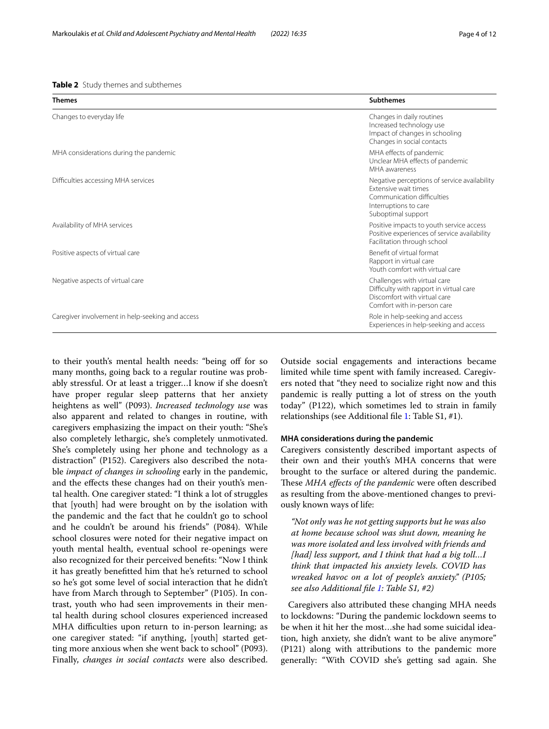#### <span id="page-3-0"></span>**Table 2** Study themes and subthemes

| <b>Themes</b>                                    | <b>Subthemes</b>                                                                                                                                  |
|--------------------------------------------------|---------------------------------------------------------------------------------------------------------------------------------------------------|
| Changes to everyday life                         | Changes in daily routines<br>Increased technology use<br>Impact of changes in schooling<br>Changes in social contacts                             |
| MHA considerations during the pandemic           | MHA effects of pandemic<br>Unclear MHA effects of pandemic<br>MHA awareness                                                                       |
| Difficulties accessing MHA services              | Negative perceptions of service availability<br>Extensive wait times<br>Communication difficulties<br>Interruptions to care<br>Suboptimal support |
| Availability of MHA services                     | Positive impacts to youth service access<br>Positive experiences of service availability<br>Facilitation through school                           |
| Positive aspects of virtual care                 | Benefit of virtual format<br>Rapport in virtual care<br>Youth comfort with virtual care                                                           |
| Negative aspects of virtual care                 | Challenges with virtual care<br>Difficulty with rapport in virtual care<br>Discomfort with virtual care<br>Comfort with in-person care            |
| Caregiver involvement in help-seeking and access | Role in help-seeking and access<br>Experiences in help-seeking and access                                                                         |

to their youth's mental health needs: "being off for so many months, going back to a regular routine was probably stressful. Or at least a trigger…I know if she doesn't have proper regular sleep patterns that her anxiety heightens as well" (P093). *Increased technology use* was also apparent and related to changes in routine, with caregivers emphasizing the impact on their youth: "She's also completely lethargic, she's completely unmotivated. She's completely using her phone and technology as a distraction" (P152). Caregivers also described the notable *impact of changes in schooling* early in the pandemic, and the efects these changes had on their youth's mental health. One caregiver stated: "I think a lot of struggles that [youth] had were brought on by the isolation with the pandemic and the fact that he couldn't go to school and he couldn't be around his friends" (P084). While school closures were noted for their negative impact on youth mental health, eventual school re-openings were also recognized for their perceived benefts: "Now I think it has greatly beneftted him that he's returned to school so he's got some level of social interaction that he didn't have from March through to September" (P105). In contrast, youth who had seen improvements in their mental health during school closures experienced increased MHA difficulties upon return to in-person learning; as one caregiver stated: "if anything, [youth] started getting more anxious when she went back to school" (P093). Finally, *changes in social contacts* were also described.

Outside social engagements and interactions became limited while time spent with family increased. Caregivers noted that "they need to socialize right now and this pandemic is really putting a lot of stress on the youth today" (P122), which sometimes led to strain in family relationships (see Additional file [1](#page-10-2): Table S1, #1).

## **MHA considerations during the pandemic**

Caregivers consistently described important aspects of their own and their youth's MHA concerns that were brought to the surface or altered during the pandemic. These MHA effects of the pandemic were often described as resulting from the above-mentioned changes to previously known ways of life:

*"Not only was he not getting supports but he was also at home because school was shut down, meaning he was more isolated and less involved with friends and [had] less support, and I think that had a big toll…I think that impacted his anxiety levels. COVID has wreaked havoc on a lot of people's anxiety." (P105; see also Additional fle [1](#page-10-2): Table S1, #2)*

Caregivers also attributed these changing MHA needs to lockdowns: "During the pandemic lockdown seems to be when it hit her the most…she had some suicidal ideation, high anxiety, she didn't want to be alive anymore" (P121) along with attributions to the pandemic more generally: "With COVID she's getting sad again. She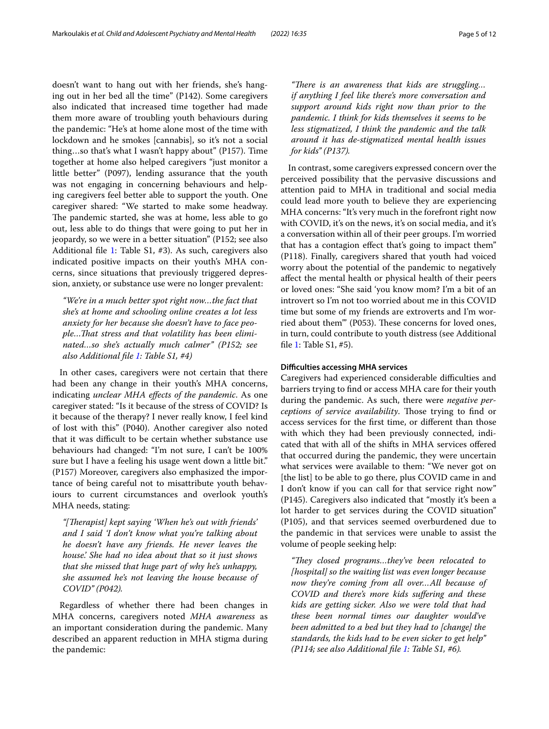doesn't want to hang out with her friends, she's hanging out in her bed all the time" (P142). Some caregivers also indicated that increased time together had made them more aware of troubling youth behaviours during the pandemic: "He's at home alone most of the time with lockdown and he smokes [cannabis], so it's not a social thing…so that's what I wasn't happy about" (P157). Time together at home also helped caregivers "just monitor a little better" (P097), lending assurance that the youth was not engaging in concerning behaviours and helping caregivers feel better able to support the youth. One caregiver shared: "We started to make some headway. The pandemic started, she was at home, less able to go out, less able to do things that were going to put her in jeopardy, so we were in a better situation" (P152; see also Additional file [1:](#page-10-2) Table S1, #3). As such, caregivers also indicated positive impacts on their youth's MHA concerns, since situations that previously triggered depression, anxiety, or substance use were no longer prevalent:

*"We're in a much better spot right now…the fact that she's at home and schooling online creates a lot less anxiety for her because she doesn't have to face people…Tat stress and that volatility has been eliminated…so she's actually much calmer" (P152; see also Additional fle [1](#page-10-2): Table S1, #4)*

In other cases, caregivers were not certain that there had been any change in their youth's MHA concerns, indicating *unclear MHA efects of the pandemic*. As one caregiver stated: "Is it because of the stress of COVID? Is it because of the therapy? I never really know, I feel kind of lost with this" (P040). Another caregiver also noted that it was difficult to be certain whether substance use behaviours had changed: "I'm not sure, I can't be 100% sure but I have a feeling his usage went down a little bit." (P157) Moreover, caregivers also emphasized the importance of being careful not to misattribute youth behaviours to current circumstances and overlook youth's MHA needs, stating:

*"[Terapist] kept saying 'When he's out with friends' and I said 'I don't know what you're talking about he doesn't have any friends. He never leaves the house.' She had no idea about that so it just shows that she missed that huge part of why he's unhappy, she assumed he's not leaving the house because of COVID" (P042).*

Regardless of whether there had been changes in MHA concerns, caregivers noted *MHA awareness* as an important consideration during the pandemic. Many described an apparent reduction in MHA stigma during the pandemic:

*"There is an awareness that kids are struggling... if anything I feel like there's more conversation and support around kids right now than prior to the pandemic. I think for kids themselves it seems to be less stigmatized, I think the pandemic and the talk around it has de-stigmatized mental health issues for kids" (P137).*

In contrast, some caregivers expressed concern over the perceived possibility that the pervasive discussions and attention paid to MHA in traditional and social media could lead more youth to believe they are experiencing MHA concerns: "It's very much in the forefront right now with COVID, it's on the news, it's on social media, and it's a conversation within all of their peer groups. I'm worried that has a contagion efect that's going to impact them" (P118). Finally, caregivers shared that youth had voiced worry about the potential of the pandemic to negatively afect the mental health or physical health of their peers or loved ones: "She said 'you know mom? I'm a bit of an introvert so I'm not too worried about me in this COVID time but some of my friends are extroverts and I'm worried about them"" (P053). These concerns for loved ones, in turn, could contribute to youth distress (see Additional fle [1](#page-10-2): Table S1, #5).

## **Difculties accessing MHA services**

Caregivers had experienced considerable difficulties and barriers trying to fnd or access MHA care for their youth during the pandemic. As such, there were *negative perceptions of service availability*. Tose trying to fnd or access services for the frst time, or diferent than those with which they had been previously connected, indicated that with all of the shifts in MHA services ofered that occurred during the pandemic, they were uncertain what services were available to them: "We never got on [the list] to be able to go there, plus COVID came in and I don't know if you can call for that service right now" (P145). Caregivers also indicated that "mostly it's been a lot harder to get services during the COVID situation" (P105), and that services seemed overburdened due to the pandemic in that services were unable to assist the volume of people seeking help:

*"Tey closed programs…they've been relocated to [hospital] so the waiting list was even longer because now they're coming from all over…All because of COVID and there's more kids sufering and these kids are getting sicker. Also we were told that had these been normal times our daughter would've been admitted to a bed but they had to [change] the standards, the kids had to be even sicker to get help" (P114; see also Additional fle [1](#page-10-2): Table S1, #6).*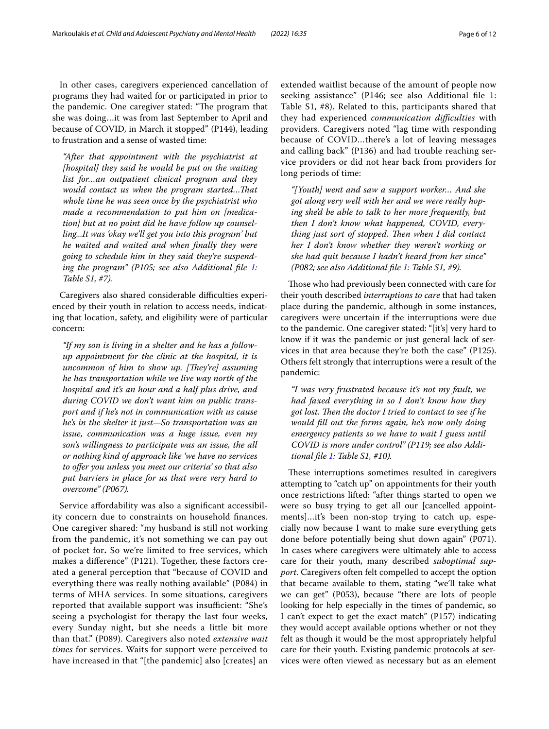In other cases, caregivers experienced cancellation of programs they had waited for or participated in prior to the pandemic. One caregiver stated: "The program that she was doing…it was from last September to April and because of COVID, in March it stopped" (P144), leading to frustration and a sense of wasted time:

*"After that appointment with the psychiatrist at [hospital] they said he would be put on the waiting list for…an outpatient clinical program and they would contact us when the program started…Tat whole time he was seen once by the psychiatrist who made a recommendation to put him on [medication] but at no point did he have follow up counselling...It was 'okay we'll get you into this program' but he waited and waited and when fnally they were going to schedule him in they said they're suspend-ing the program" (P[1](#page-10-2)05; see also Additional file 1: Table S1, #7).*

Caregivers also shared considerable difficulties experienced by their youth in relation to access needs, indicating that location, safety, and eligibility were of particular concern:

*"If my son is living in a shelter and he has a followup appointment for the clinic at the hospital, it is uncommon of him to show up. [They're] assuming he has transportation while we live way north of the hospital and it's an hour and a half plus drive, and during COVID we don't want him on public transport and if he's not in communication with us cause he's in the shelter it just—So transportation was an issue, communication was a huge issue, even my son's willingness to participate was an issue, the all or nothing kind of approach like 'we have no services to ofer you unless you meet our criteria' so that also put barriers in place for us that were very hard to overcome" (P067).*

Service affordability was also a significant accessibility concern due to constraints on household fnances. One caregiver shared: "my husband is still not working from the pandemic, it's not something we can pay out of pocket for**.** So we're limited to free services, which makes a diference" (P121). Together, these factors created a general perception that "because of COVID and everything there was really nothing available" (P084) in terms of MHA services. In some situations, caregivers reported that available support was insufficient: "She's seeing a psychologist for therapy the last four weeks, every Sunday night, but she needs a little bit more than that." (P089). Caregivers also noted *extensive wait times* for services. Waits for support were perceived to have increased in that "[the pandemic] also [creates] an extended waitlist because of the amount of people now seeking assistance" (P146; see also Additional fle [1](#page-10-2): Table S1, #8). Related to this, participants shared that they had experienced *communication difculties* with providers. Caregivers noted "lag time with responding because of COVID…there's a lot of leaving messages and calling back" (P136) and had trouble reaching service providers or did not hear back from providers for long periods of time:

*"[Youth] went and saw a support worker… And she got along very well with her and we were really hoping she'd be able to talk to her more frequently, but then I don't know what happened, COVID, everything just sort of stopped. Then when I did contact her I don't know whether they weren't working or she had quit because I hadn't heard from her since" (P082; see also Additional fle [1](#page-10-2): Table S1, #9).*

Those who had previously been connected with care for their youth described *interruptions to care* that had taken place during the pandemic, although in some instances, caregivers were uncertain if the interruptions were due to the pandemic. One caregiver stated: "[it's] very hard to know if it was the pandemic or just general lack of services in that area because they're both the case" (P125). Others felt strongly that interruptions were a result of the pandemic:

*"I was very frustrated because it's not my fault, we had faxed everything in so I don't know how they*  got lost. Then the doctor I tried to contact to see if he *would fll out the forms again, he's now only doing emergency patients so we have to wait I guess until COVID is more under control" (P119; see also Additional fle [1:](#page-10-2) Table S1, #10).*

These interruptions sometimes resulted in caregivers attempting to "catch up" on appointments for their youth once restrictions lifted: "after things started to open we were so busy trying to get all our [cancelled appointments]…it's been non-stop trying to catch up, especially now because I want to make sure everything gets done before potentially being shut down again" (P071). In cases where caregivers were ultimately able to access care for their youth, many described *suboptimal support*. Caregivers often felt compelled to accept the option that became available to them, stating "we'll take what we can get" (P053), because "there are lots of people looking for help especially in the times of pandemic, so I can't expect to get the exact match" (P157) indicating they would accept available options whether or not they felt as though it would be the most appropriately helpful care for their youth. Existing pandemic protocols at services were often viewed as necessary but as an element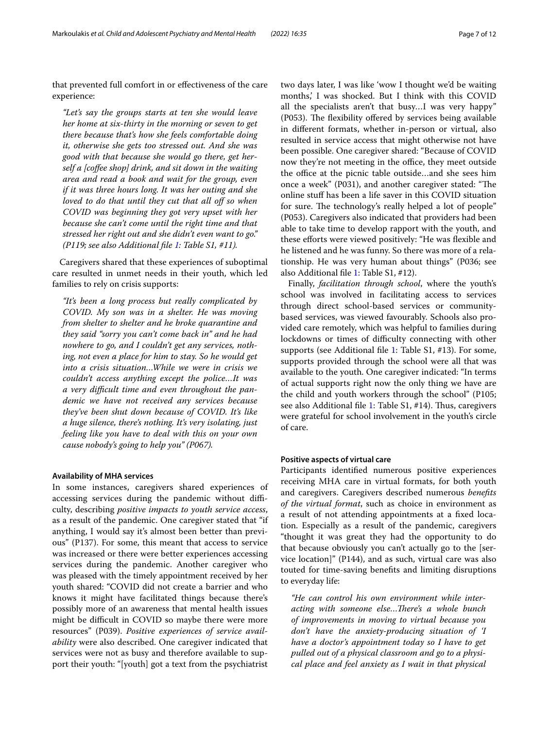that prevented full comfort in or efectiveness of the care experience:

*"Let's say the groups starts at ten she would leave her home at six-thirty in the morning or seven to get there because that's how she feels comfortable doing it, otherwise she gets too stressed out. And she was good with that because she would go there, get herself a [cofee shop] drink, and sit down in the waiting area and read a book and wait for the group, even if it was three hours long. It was her outing and she loved to do that until they cut that all off so when COVID was beginning they got very upset with her because she can't come until the right time and that stressed her right out and she didn't even want to go." (P119; see also Additional fle [1](#page-10-2): Table S1, #11).*

Caregivers shared that these experiences of suboptimal care resulted in unmet needs in their youth, which led families to rely on crisis supports:

*"It's been a long process but really complicated by COVID. My son was in a shelter. He was moving from shelter to shelter and he broke quarantine and they said "sorry you can't come back in" and he had nowhere to go, and I couldn't get any services, nothing, not even a place for him to stay. So he would get into a crisis situation…While we were in crisis we couldn't access anything except the police…It was a very difcult time and even throughout the pandemic we have not received any services because they've been shut down because of COVID. It's like a huge silence, there's nothing. It's very isolating, just feeling like you have to deal with this on your own cause nobody's going to help you" (P067).*

## **Availability of MHA services**

In some instances, caregivers shared experiences of accessing services during the pandemic without difficulty, describing *positive impacts to youth service access*, as a result of the pandemic. One caregiver stated that "if anything, I would say it's almost been better than previous" (P137). For some, this meant that access to service was increased or there were better experiences accessing services during the pandemic. Another caregiver who was pleased with the timely appointment received by her youth shared: "COVID did not create a barrier and who knows it might have facilitated things because there's possibly more of an awareness that mental health issues might be difficult in COVID so maybe there were more resources" (P039). *Positive experiences of service availability* were also described. One caregiver indicated that services were not as busy and therefore available to support their youth: "[youth] got a text from the psychiatrist two days later, I was like 'wow I thought we'd be waiting months,' I was shocked. But I think with this COVID all the specialists aren't that busy…I was very happy" (P053). The flexibility offered by services being available in diferent formats, whether in-person or virtual, also resulted in service access that might otherwise not have been possible. One caregiver shared: "Because of COVID now they're not meeting in the office, they meet outside the office at the picnic table outside...and she sees him once a week" (P031), and another caregiver stated: "The online stuf has been a life saver in this COVID situation for sure. The technology's really helped a lot of people" (P053). Caregivers also indicated that providers had been able to take time to develop rapport with the youth, and these eforts were viewed positively: "He was fexible and he listened and he was funny. So there was more of a relationship. He was very human about things" (P036; see also Additional fle [1:](#page-10-2) Table S1, #12).

Finally, *facilitation through school*, where the youth's school was involved in facilitating access to services through direct school-based services or communitybased services, was viewed favourably. Schools also provided care remotely, which was helpful to families during lockdowns or times of difficulty connecting with other supports (see Additional fle [1](#page-10-2): Table S1, #13). For some, supports provided through the school were all that was available to the youth. One caregiver indicated: "In terms of actual supports right now the only thing we have are the child and youth workers through the school" (P105; see also Additional file [1](#page-10-2): Table S1, #14). Thus, caregivers were grateful for school involvement in the youth's circle of care.

## **Positive aspects of virtual care**

Participants identifed numerous positive experiences receiving MHA care in virtual formats, for both youth and caregivers. Caregivers described numerous *benefts of the virtual format*, such as choice in environment as a result of not attending appointments at a fxed location. Especially as a result of the pandemic, caregivers "thought it was great they had the opportunity to do that because obviously you can't actually go to the [service location]" (P144), and as such, virtual care was also touted for time-saving benefts and limiting disruptions to everyday life:

*"He can control his own environment while interacting with someone else…Tere's a whole bunch of improvements in moving to virtual because you don't have the anxiety-producing situation of 'I have a doctor's appointment today so I have to get pulled out of a physical classroom and go to a physical place and feel anxiety as I wait in that physical*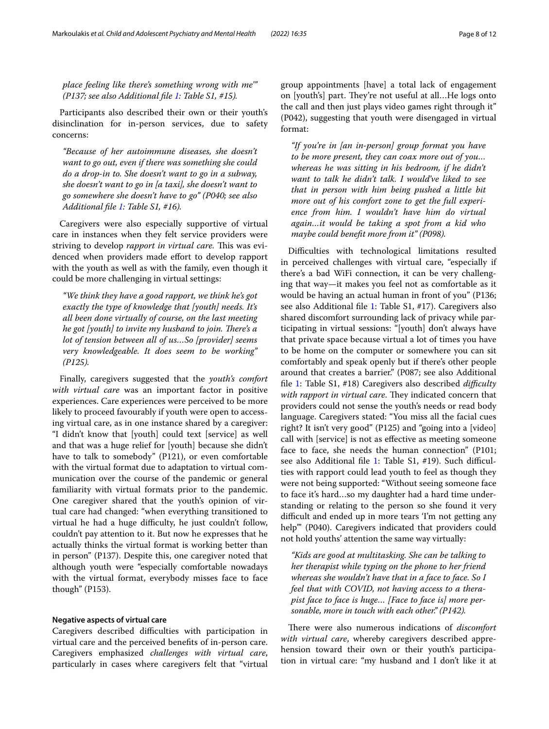Participants also described their own or their youth's disinclination for in-person services, due to safety concerns:

*"Because of her autoimmune diseases, she doesn't want to go out, even if there was something she could do a drop-in to. She doesn't want to go in a subway, she doesn't want to go in [a taxi], she doesn't want to go somewhere she doesn't have to go" (P040; see also Additional fle [1:](#page-10-2) Table S1, #16).*

Caregivers were also especially supportive of virtual care in instances when they felt service providers were striving to develop *rapport in virtual care*. This was evidenced when providers made efort to develop rapport with the youth as well as with the family, even though it could be more challenging in virtual settings:

*"We think they have a good rapport, we think he's got exactly the type of knowledge that [youth] needs. It's all been done virtually of course, on the last meeting he got [youth] to invite my husband to join. There's a lot of tension between all of us…So [provider] seems very knowledgeable. It does seem to be working" (P125).*

Finally, caregivers suggested that the *youth's comfort with virtual care* was an important factor in positive experiences. Care experiences were perceived to be more likely to proceed favourably if youth were open to accessing virtual care, as in one instance shared by a caregiver: "I didn't know that [youth] could text [service] as well and that was a huge relief for [youth] because she didn't have to talk to somebody" (P121), or even comfortable with the virtual format due to adaptation to virtual communication over the course of the pandemic or general familiarity with virtual formats prior to the pandemic. One caregiver shared that the youth's opinion of virtual care had changed: "when everything transitioned to virtual he had a huge difficulty, he just couldn't follow, couldn't pay attention to it. But now he expresses that he actually thinks the virtual format is working better than in person" (P137). Despite this, one caregiver noted that although youth were "especially comfortable nowadays with the virtual format, everybody misses face to face though" (P153).

## **Negative aspects of virtual care**

Caregivers described difficulties with participation in virtual care and the perceived benefts of in-person care. Caregivers emphasized *challenges with virtual care*, particularly in cases where caregivers felt that "virtual group appointments [have] a total lack of engagement on [youth's] part. They're not useful at all...He logs onto the call and then just plays video games right through it" (P042), suggesting that youth were disengaged in virtual format:

*"If you're in [an in-person] group format you have to be more present, they can coax more out of you… whereas he was sitting in his bedroom, if he didn't want to talk he didn't talk. I would've liked to see that in person with him being pushed a little bit more out of his comfort zone to get the full experience from him. I wouldn't have him do virtual again…it would be taking a spot from a kid who maybe could beneft more from it" (P098).*

Difficulties with technological limitations resulted in perceived challenges with virtual care, "especially if there's a bad WiFi connection, it can be very challenging that way—it makes you feel not as comfortable as it would be having an actual human in front of you" (P136; see also Additional fle [1:](#page-10-2) Table S1, #17). Caregivers also shared discomfort surrounding lack of privacy while participating in virtual sessions: "[youth] don't always have that private space because virtual a lot of times you have to be home on the computer or somewhere you can sit comfortably and speak openly but if there's other people around that creates a barrier." (P087; see also Additional fle [1](#page-10-2): Table S1, #18) Caregivers also described *difculty with rapport in virtual care*. They indicated concern that providers could not sense the youth's needs or read body language. Caregivers stated: "You miss all the facial cues right? It isn't very good" (P125) and "going into a [video] call with [service] is not as efective as meeting someone face to face, she needs the human connection" (P101; see also Additional file [1](#page-10-2): Table S1, #19). Such difficulties with rapport could lead youth to feel as though they were not being supported: "Without seeing someone face to face it's hard…so my daughter had a hard time understanding or relating to the person so she found it very difficult and ended up in more tears 'I'm not getting any help'" (P040). Caregivers indicated that providers could not hold youths' attention the same way virtually:

*"Kids are good at multitasking. She can be talking to her therapist while typing on the phone to her friend whereas she wouldn't have that in a face to face. So I feel that with COVID, not having access to a therapist face to face is huge… [Face to face is] more personable, more in touch with each other." (P142).*

There were also numerous indications of *discomfort with virtual care*, whereby caregivers described apprehension toward their own or their youth's participation in virtual care: "my husband and I don't like it at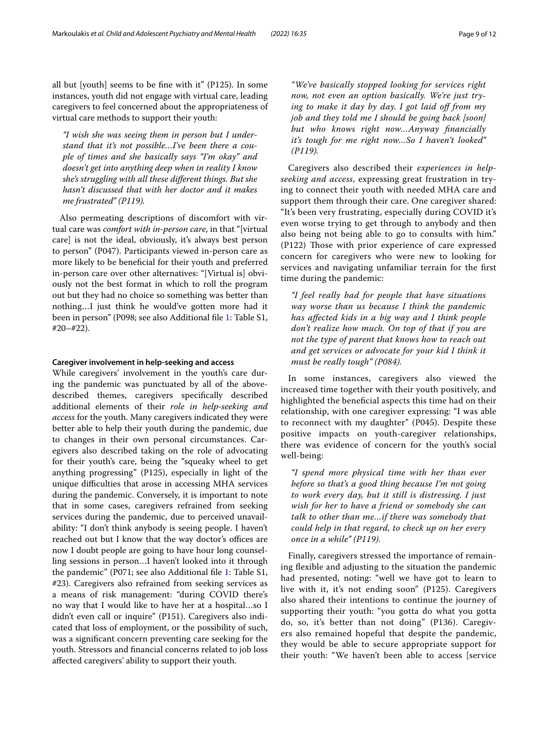*"I wish she was seeing them in person but I understand that it's not possible…I've been there a couple of times and she basically says "I'm okay" and doesn't get into anything deep when in reality I know she's struggling with all these diferent things. But she hasn't discussed that with her doctor and it makes me frustrated" (P119).*

Also permeating descriptions of discomfort with virtual care was *comfort with in-person care*, in that "[virtual care] is not the ideal, obviously, it's always best person to person" (P047). Participants viewed in-person care as more likely to be benefcial for their youth and preferred in-person care over other alternatives: "[Virtual is] obviously not the best format in which to roll the program out but they had no choice so something was better than nothing…I just think he would've gotten more had it been in person" (P098; see also Additional fle [1](#page-10-2): Table S1, #20–#22).

## **Caregiver involvement in help‑seeking and access**

While caregivers' involvement in the youth's care during the pandemic was punctuated by all of the abovedescribed themes, caregivers specifcally described additional elements of their *role in help-seeking and access* for the youth. Many caregivers indicated they were better able to help their youth during the pandemic, due to changes in their own personal circumstances. Caregivers also described taking on the role of advocating for their youth's care, being the "squeaky wheel to get anything progressing" (P125), especially in light of the unique difficulties that arose in accessing MHA services during the pandemic. Conversely, it is important to note that in some cases, caregivers refrained from seeking services during the pandemic, due to perceived unavailability: "I don't think anybody is seeing people. I haven't reached out but I know that the way doctor's offices are now I doubt people are going to have hour long counselling sessions in person…I haven't looked into it through the pandemic" (P071; see also Additional fle [1:](#page-10-2) Table S1, #23). Caregivers also refrained from seeking services as a means of risk management: "during COVID there's no way that I would like to have her at a hospital…so I didn't even call or inquire" (P151). Caregivers also indicated that loss of employment, or the possibility of such, was a signifcant concern preventing care seeking for the youth. Stressors and fnancial concerns related to job loss afected caregivers' ability to support their youth.

*"We've basically stopped looking for services right now, not even an option basically. We're just trying to make it day by day. I got laid of from my job and they told me I should be going back [soon] but who knows right now…Anyway fnancially it's tough for me right now…So I haven't looked" (P119).*

Caregivers also described their *experiences in helpseeking and access*, expressing great frustration in trying to connect their youth with needed MHA care and support them through their care. One caregiver shared: "It's been very frustrating, especially during COVID it's even worse trying to get through to anybody and then also being not being able to go to consults with him." (P122) Those with prior experience of care expressed concern for caregivers who were new to looking for services and navigating unfamiliar terrain for the frst time during the pandemic:

*"I feel really bad for people that have situations way worse than us because I think the pandemic has afected kids in a big way and I think people don't realize how much. On top of that if you are not the type of parent that knows how to reach out and get services or advocate for your kid I think it must be really tough" (P084).*

In some instances, caregivers also viewed the increased time together with their youth positively, and highlighted the benefcial aspects this time had on their relationship, with one caregiver expressing: "I was able to reconnect with my daughter" (P045). Despite these positive impacts on youth-caregiver relationships, there was evidence of concern for the youth's social well-being:

*"I spend more physical time with her than ever before so that's a good thing because I'm not going to work every day, but it still is distressing. I just wish for her to have a friend or somebody she can talk to other than me…if there was somebody that could help in that regard, to check up on her every once in a while" (P119).*

Finally, caregivers stressed the importance of remaining flexible and adjusting to the situation the pandemic had presented, noting: "well we have got to learn to live with it, it's not ending soon" (P125). Caregivers also shared their intentions to continue the journey of supporting their youth: "you gotta do what you gotta do, so, it's better than not doing" (P136). Caregivers also remained hopeful that despite the pandemic, they would be able to secure appropriate support for their youth: "We haven't been able to access [service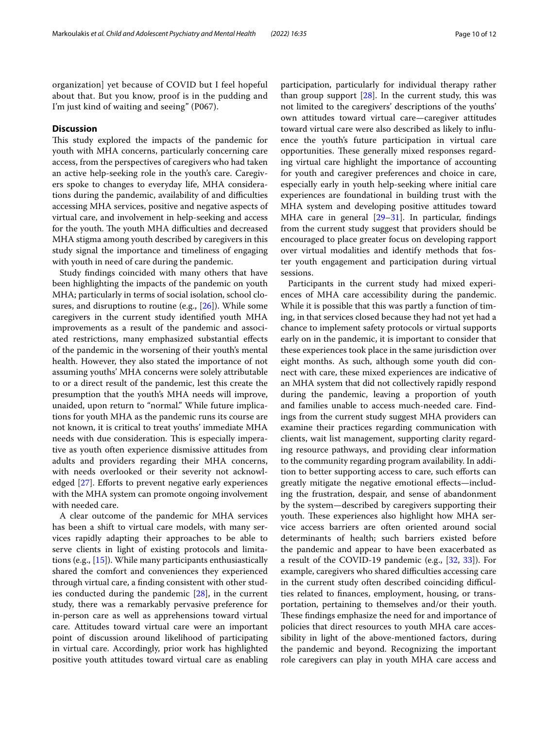organization] yet because of COVID but I feel hopeful about that. But you know, proof is in the pudding and I'm just kind of waiting and seeing" (P067).

## **Discussion**

This study explored the impacts of the pandemic for youth with MHA concerns, particularly concerning care access, from the perspectives of caregivers who had taken an active help-seeking role in the youth's care. Caregivers spoke to changes to everyday life, MHA considerations during the pandemic, availability of and difficulties accessing MHA services, positive and negative aspects of virtual care, and involvement in help-seeking and access for the youth. The youth MHA difficulties and decreased MHA stigma among youth described by caregivers in this study signal the importance and timeliness of engaging with youth in need of care during the pandemic.

Study fndings coincided with many others that have been highlighting the impacts of the pandemic on youth MHA; particularly in terms of social isolation, school closures, and disruptions to routine (e.g., [[26\]](#page-11-23)). While some caregivers in the current study identifed youth MHA improvements as a result of the pandemic and associated restrictions, many emphasized substantial efects of the pandemic in the worsening of their youth's mental health. However, they also stated the importance of not assuming youths' MHA concerns were solely attributable to or a direct result of the pandemic, lest this create the presumption that the youth's MHA needs will improve, unaided, upon return to "normal." While future implications for youth MHA as the pandemic runs its course are not known, it is critical to treat youths' immediate MHA needs with due consideration. This is especially imperative as youth often experience dismissive attitudes from adults and providers regarding their MHA concerns, with needs overlooked or their severity not acknowledged  $[27]$  $[27]$  $[27]$ . Efforts to prevent negative early experiences with the MHA system can promote ongoing involvement with needed care.

A clear outcome of the pandemic for MHA services has been a shift to virtual care models, with many services rapidly adapting their approaches to be able to serve clients in light of existing protocols and limitations (e.g., [[15\]](#page-11-12)). While many participants enthusiastically shared the comfort and conveniences they experienced through virtual care, a fnding consistent with other studies conducted during the pandemic [[28\]](#page-11-25), in the current study, there was a remarkably pervasive preference for in-person care as well as apprehensions toward virtual care. Attitudes toward virtual care were an important point of discussion around likelihood of participating in virtual care. Accordingly, prior work has highlighted positive youth attitudes toward virtual care as enabling participation, particularly for individual therapy rather than group support  $[28]$ . In the current study, this was not limited to the caregivers' descriptions of the youths' own attitudes toward virtual care—caregiver attitudes toward virtual care were also described as likely to infuence the youth's future participation in virtual care opportunities. These generally mixed responses regarding virtual care highlight the importance of accounting for youth and caregiver preferences and choice in care, especially early in youth help-seeking where initial care experiences are foundational in building trust with the MHA system and developing positive attitudes toward MHA care in general  $[29-31]$  $[29-31]$  $[29-31]$ . In particular, findings from the current study suggest that providers should be encouraged to place greater focus on developing rapport over virtual modalities and identify methods that foster youth engagement and participation during virtual sessions.

Participants in the current study had mixed experiences of MHA care accessibility during the pandemic. While it is possible that this was partly a function of timing, in that services closed because they had not yet had a chance to implement safety protocols or virtual supports early on in the pandemic, it is important to consider that these experiences took place in the same jurisdiction over eight months. As such, although some youth did connect with care, these mixed experiences are indicative of an MHA system that did not collectively rapidly respond during the pandemic, leaving a proportion of youth and families unable to access much-needed care. Findings from the current study suggest MHA providers can examine their practices regarding communication with clients, wait list management, supporting clarity regarding resource pathways, and providing clear information to the community regarding program availability. In addition to better supporting access to care, such eforts can greatly mitigate the negative emotional efects—including the frustration, despair, and sense of abandonment by the system—described by caregivers supporting their youth. These experiences also highlight how MHA service access barriers are often oriented around social determinants of health; such barriers existed before the pandemic and appear to have been exacerbated as a result of the COVID-19 pandemic (e.g., [[32,](#page-11-28) [33\]](#page-11-29)). For example, caregivers who shared difficulties accessing care in the current study often described coinciding difficulties related to fnances, employment, housing, or transportation, pertaining to themselves and/or their youth. These findings emphasize the need for and importance of policies that direct resources to youth MHA care accessibility in light of the above-mentioned factors, during the pandemic and beyond. Recognizing the important role caregivers can play in youth MHA care access and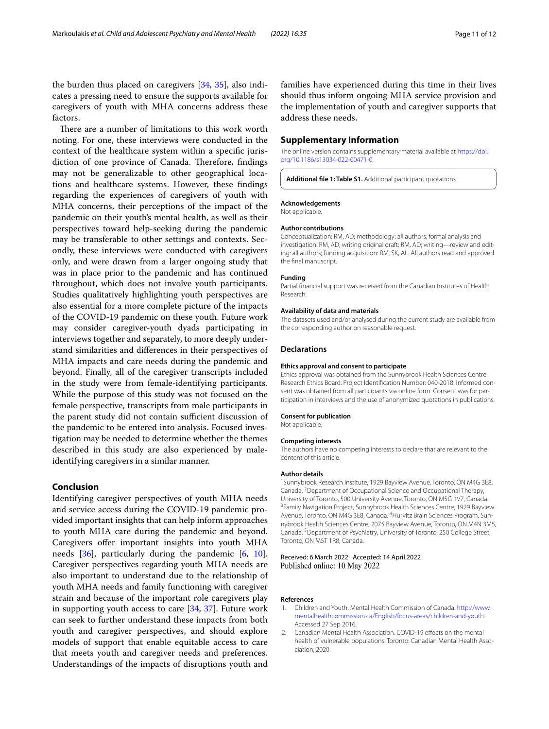the burden thus placed on caregivers [[34,](#page-11-30) [35\]](#page-11-31), also indicates a pressing need to ensure the supports available for caregivers of youth with MHA concerns address these factors.

There are a number of limitations to this work worth noting. For one, these interviews were conducted in the context of the healthcare system within a specifc jurisdiction of one province of Canada. Therefore, findings may not be generalizable to other geographical locations and healthcare systems. However, these fndings regarding the experiences of caregivers of youth with MHA concerns, their perceptions of the impact of the pandemic on their youth's mental health, as well as their perspectives toward help-seeking during the pandemic may be transferable to other settings and contexts. Secondly, these interviews were conducted with caregivers only, and were drawn from a larger ongoing study that was in place prior to the pandemic and has continued throughout, which does not involve youth participants. Studies qualitatively highlighting youth perspectives are also essential for a more complete picture of the impacts of the COVID-19 pandemic on these youth. Future work may consider caregiver-youth dyads participating in interviews together and separately, to more deeply understand similarities and diferences in their perspectives of MHA impacts and care needs during the pandemic and beyond. Finally, all of the caregiver transcripts included in the study were from female-identifying participants. While the purpose of this study was not focused on the female perspective, transcripts from male participants in the parent study did not contain sufficient discussion of the pandemic to be entered into analysis. Focused investigation may be needed to determine whether the themes described in this study are also experienced by maleidentifying caregivers in a similar manner.

## **Conclusion**

Identifying caregiver perspectives of youth MHA needs and service access during the COVID-19 pandemic provided important insights that can help inform approaches to youth MHA care during the pandemic and beyond. Caregivers offer important insights into youth MHA needs  $[36]$ , particularly during the pandemic  $[6, 10]$  $[6, 10]$  $[6, 10]$  $[6, 10]$  $[6, 10]$ . Caregiver perspectives regarding youth MHA needs are also important to understand due to the relationship of youth MHA needs and family functioning with caregiver strain and because of the important role caregivers play in supporting youth access to care [\[34,](#page-11-30) [37](#page-11-33)]. Future work can seek to further understand these impacts from both youth and caregiver perspectives, and should explore models of support that enable equitable access to care that meets youth and caregiver needs and preferences. Understandings of the impacts of disruptions youth and

families have experienced during this time in their lives should thus inform ongoing MHA service provision and the implementation of youth and caregiver supports that address these needs.

## **Supplementary Information**

The online version contains supplementary material available at [https://doi.](https://doi.org/10.1186/s13034-022-00471-0) [org/10.1186/s13034-022-00471-0](https://doi.org/10.1186/s13034-022-00471-0).

<span id="page-10-2"></span>**Additional fle 1: Table S1.** Additional participant quotations.

#### **Acknowledgements**

Not applicable.

#### **Author contributions**

Conceptualization: RM, AD; methodology: all authors; formal analysis and investigation: RM, AD; writing original draft: RM, AD; writing—review and editing: all authors; funding acquisition: RM, SK, AL. All authors read and approved the fnal manuscript.

#### **Funding**

Partial fnancial support was received from the Canadian Institutes of Health Research.

#### **Availability of data and materials**

The datasets used and/or analysed during the current study are available from the corresponding author on reasonable request.

#### **Declarations**

#### **Ethics approval and consent to participate**

Ethics approval was obtained from the Sunnybrook Health Sciences Centre Research Ethics Board. Project Identifcation Number: 040-2018. Informed consent was obtained from all participants via online form. Consent was for participation in interviews and the use of anonymized quotations in publications.

#### **Consent for publication**

Not applicable.

#### **Competing interests**

The authors have no competing interests to declare that are relevant to the content of this article.

#### **Author details**

<sup>1</sup> Sunnybrook Research Institute, 1929 Bayview Avenue, Toronto, ON M4G 3E8, Canada. 2 Department of Occupational Science and Occupational Therapy, University of Toronto, 500 University Avenue, Toronto, ON M5G 1V7, Canada. 3 <sup>3</sup> Family Navigation Project, Sunnybrook Health Sciences Centre, 1929 Bayview Avenue, Toronto, ON M4G 3E8, Canada. <sup>4</sup> Hurvitz Brain Sciences Program, Sunnybrook Health Sciences Centre, 2075 Bayview Avenue, Toronto, ON M4N 3M5, Canada. 5 Department of Psychiatry, University of Toronto, 250 College Street, Toronto, ON M5T 1R8, Canada.

#### Received: 6 March 2022 Accepted: 14 April 2022 Published online: 10 May 2022

#### **References**

- <span id="page-10-0"></span>1. Children and Youth. Mental Health Commission of Canada. [http://www.](http://www.mentalhealthcommission.ca/English/focus-areas/children-and-youth) [mentalhealthcommission.ca/English/focus-areas/children-and-youth](http://www.mentalhealthcommission.ca/English/focus-areas/children-and-youth). Accessed 27 Sep 2016.
- <span id="page-10-1"></span>2. Canadian Mental Health Association. COVID-19 effects on the mental health of vulnerable populations. Toronto: Canadian Mental Health Association; 2020.